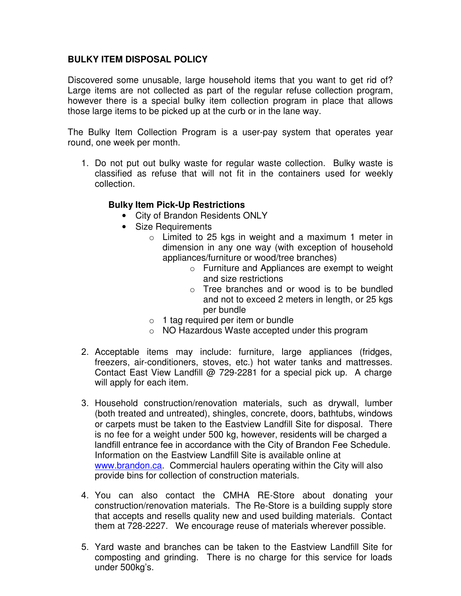## **BULKY ITEM DISPOSAL POLICY**

Discovered some unusable, large household items that you want to get rid of? Large items are not collected as part of the regular refuse collection program, however there is a special bulky item collection program in place that allows those large items to be picked up at the curb or in the lane way.

The Bulky Item Collection Program is a user-pay system that operates year round, one week per month.

1. Do not put out bulky waste for regular waste collection. Bulky waste is classified as refuse that will not fit in the containers used for weekly collection.

## **Bulky Item Pick-Up Restrictions**

- City of Brandon Residents ONLY
- Size Requirements
	- $\circ$  Limited to 25 kgs in weight and a maximum 1 meter in dimension in any one way (with exception of household appliances/furniture or wood/tree branches)
		- o Furniture and Appliances are exempt to weight and size restrictions
		- o Tree branches and or wood is to be bundled and not to exceed 2 meters in length, or 25 kgs per bundle
	- $\circ$  1 tag required per item or bundle
	- o NO Hazardous Waste accepted under this program
- 2. Acceptable items may include: furniture, large appliances (fridges, freezers, air-conditioners, stoves, etc.) hot water tanks and mattresses. Contact East View Landfill @ 729-2281 for a special pick up. A charge will apply for each item.
- 3. Household construction/renovation materials, such as drywall, lumber (both treated and untreated), shingles, concrete, doors, bathtubs, windows or carpets must be taken to the Eastview Landfill Site for disposal. There is no fee for a weight under 500 kg, however, residents will be charged a landfill entrance fee in accordance with the City of Brandon Fee Schedule. Information on the Eastview Landfill Site is available online at www.brandon.ca. Commercial haulers operating within the City will also provide bins for collection of construction materials.
- 4. You can also contact the CMHA RE-Store about donating your construction/renovation materials. The Re-Store is a building supply store that accepts and resells quality new and used building materials. Contact them at 728-2227. We encourage reuse of materials wherever possible.
- 5. Yard waste and branches can be taken to the Eastview Landfill Site for composting and grinding. There is no charge for this service for loads under 500kg's.